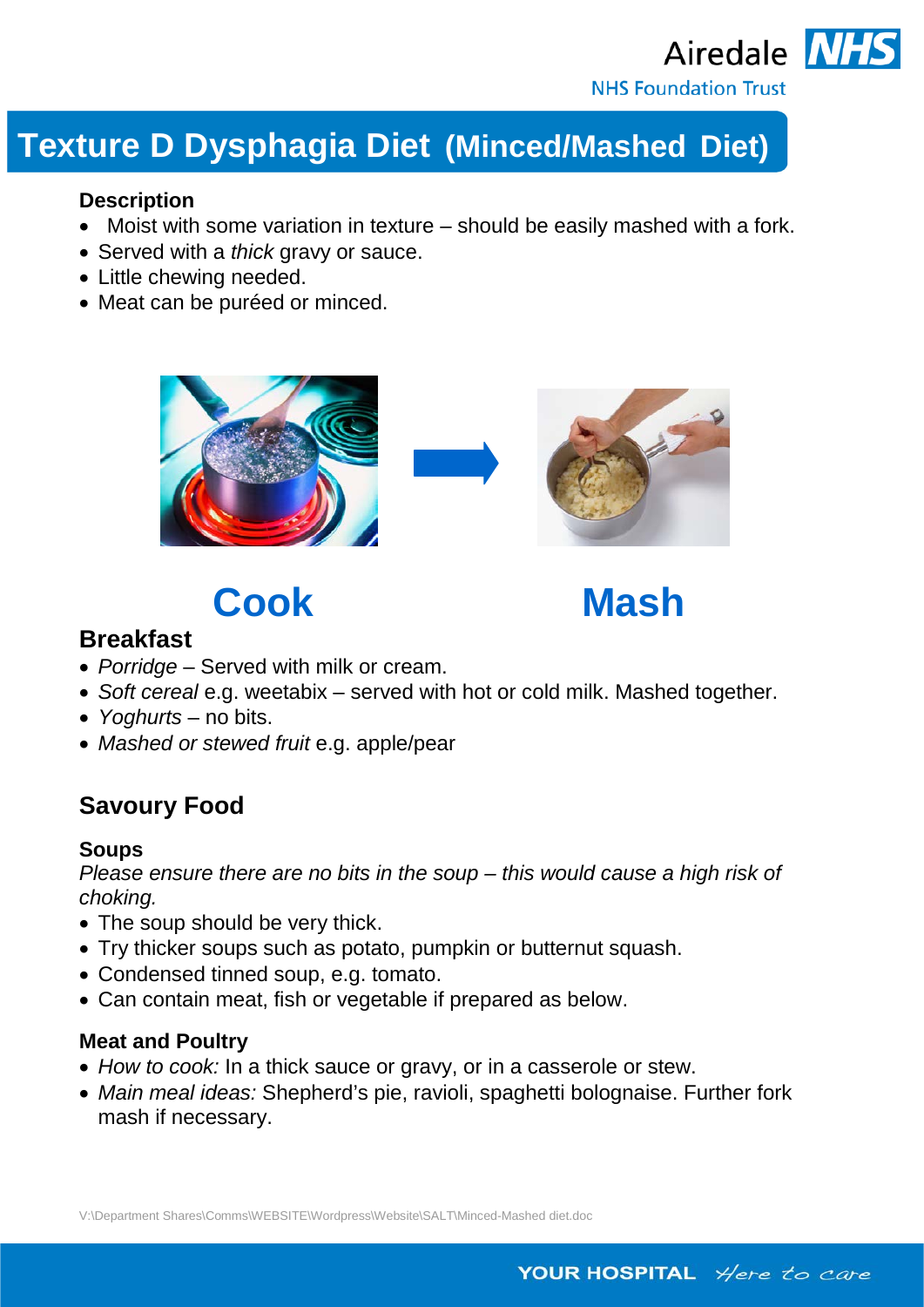

## **Texture D Dysphagia Diet (Minced/Mashed Diet)**

#### **Description**

- Moist with some variation in texture should be easily mashed with a fork.
- Served with a *thick* gravy or sauce.
- Little chewing needed.
- Meat can be puréed or minced.



# **Cook Mash**

### **Breakfast**

- *Porridge*  Served with milk or cream.
- *Soft cereal* e.g. weetabix served with hot or cold milk. Mashed together.
- *Yoghurts* no bits.
- *Mashed or stewed fruit* e.g. apple/pear

## **Savoury Food**

#### **Soups**

*Please ensure there are no bits in the soup – this would cause a high risk of choking.*

- The soup should be very thick.
- Try thicker soups such as potato, pumpkin or butternut squash.
- Condensed tinned soup, e.g. tomato.
- Can contain meat, fish or vegetable if prepared as below.

#### **Meat and Poultry**

- *How to cook:* In a thick sauce or gravy, or in a casserole or stew.
- *Main meal ideas:* Shepherd's pie, ravioli, spaghetti bolognaise. Further fork mash if necessary.

V:\Department Shares\Comms\WEBSITE\Wordpress\Website\SALT\Minced-Mashed diet.doc